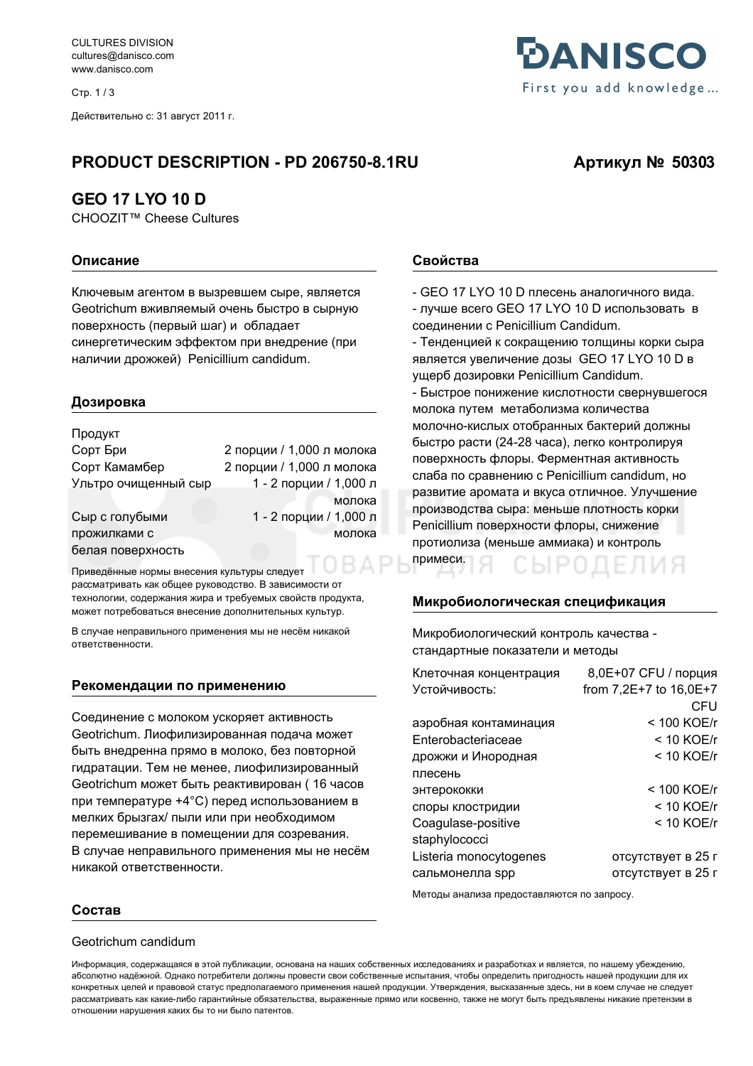**CULTURES DIVISION** cultures@danisco.com www.danisco.com

Стр. 1/3

Действительно с: 31 август 2011 г.

## PRODUCT DESCRIPTION - PD 206750-8.1RU

## **GEO 17 LYO 10 D**

CHOOZIT™ Cheese Cultures

#### Описание

Ключевым агентом в вызревшем сыре, является Geotrichum вживляемый очень быстро в сырную поверхность (первый шаг) и обладает синергетическим эффектом при внедрение (при наличии дрожжей) Penicillium candidum.

#### Дозировка

| 2 порции / 1,000 л молока |
|---------------------------|
| 2 порции / 1,000 л молока |
| 1 - 2 порции / 1,000 л    |
| молока                    |
| 1 - 2 порции / 1,000 л    |
| молока                    |
|                           |
|                           |

Приведённые нормы внесения культуры следует рассматривать как общее руководство. В зависимости от технологии, содержания жира и требуемых свойств продукта, может потребоваться внесение дополнительных культур.

В случае неправильного применения мы не несём никакой ОТВЕТСТВЕННОСТИ

#### Рекомендации по применению

Соединение с молоком ускоряет активность Geotrichum. Лиофилизированная подача может быть внедренна прямо в молоко, без повторной гидратации. Тем не менее, лиофилизированный Geotrichum может быть реактивирован (16 часов при температуре +4°С) перед использованием в мелких брызгах/ пыли или при необходимом перемешивание в помещении для созревания. В случае неправильного применения мы не несём никакой ответственности.



# Артикул № 50303

#### Свойства

- GEO 17 LYO 10 D плесень аналогичного вида. - лучше всего GEO 17 LYO 10 D использовать в соединении с Penicillium Candidum.

- Тенденцией к сокращению толщины корки сыра ЯВЛЯЕТСЯ УВЕЛИЧЕНИЕ ДОЗЫ GEO 17 LYO 10 D В ущерб дозировки Penicillium Candidum.

- Быстрое понижение кислотности свернувшегося молока путем метаболизма количества молочно-кислых отобранных бактерий должны быстро расти (24-28 часа), легко контролируя поверхность флоры. Ферментная активность слаба по сравнению с Penicillium candidum, но развитие аромата и вкуса отличное. Улучшение производства сыра: меньше плотность корки Penicillium поверхности флоры, снижение протиолиза (меньше аммиака) и контроль примеси.

#### Микробиологическая спецификация

Микробиологический контроль качества стандартные показатели и методы

| Клеточная концентрация | 8,0E+07 СFU / порция   |
|------------------------|------------------------|
| Устойчивость:          | from 7,2E+7 to 16,0E+7 |
|                        | CFU                    |
| аэробная контаминация  | < 100 KOE/r            |
| Enterobacteriaceae     | $< 10$ KOE/r           |
| дрожжи и Инородная     | $< 10$ KOE/r           |
| плесень                |                        |
| энтерококки            | < 100 KOE/r            |
| споры клостридии       | $<$ 10 KOE/r           |
| Coagulase-positive     | $< 10$ KOE/r           |
| staphylococci          |                        |
| Listeria monocytogenes | отсутствует в 25 г     |
| сальмонелла spp        | отсутствует в 25 г     |

Методы анализа предоставляются по запросу.

#### Состав

#### Geotrichum candidum

Информация, содержащаяся в этой публикации, основана на наших собственных исследованиях и разработках и является, по нашему убеждению, абсолютно надёжной. Однако потребители должны провести свои собственные испытания, чтобы определить пригодность нашей продукции для их конкретных целей и правовой статус предполагаемого применения нашей продукции. Утверждения, высказанные здесь, ни в коем случае не следует рассматривать как какие-либо гарантийные обязательства, выраженные прямо или косвенно, также не могут быть предъявлены никакие претензии в отношении нарушения каких бы то ни было патентов.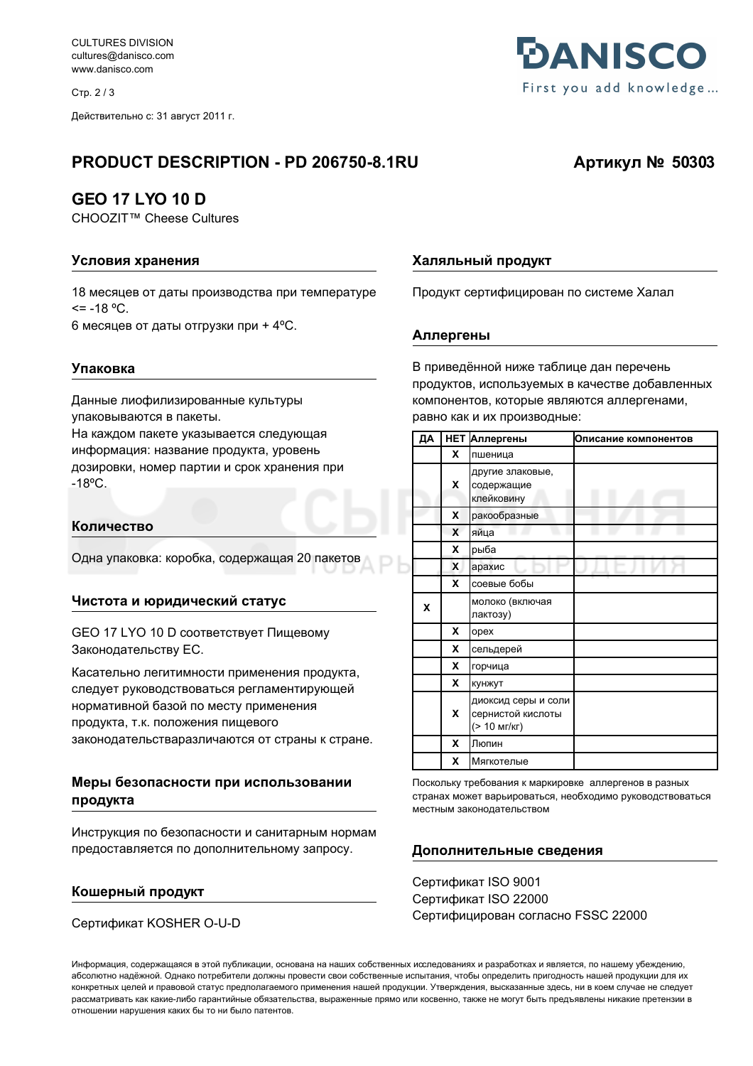**CULTURES DIVISION** cultures@danisco.com www.danisco.com

Стр. 2/3

Действительно с: 31 август 2011 г.

# PRODUCT DESCRIPTION - PD 206750-8.1RU

# **GEO 17 LYO 10 D**

CHOOZIT™ Cheese Cultures

## Условия хранения

18 месяцев от даты производства при температуре  $= -18$  °C.

6 месяцев от даты отгрузки при + 4°С.

### Упаковка

Данные лиофилизированные культуры упаковываются в пакеты. На каждом пакете указывается следующая информация: название продукта, уровень дозировки, номер партии и срок хранения при  $-18^{\circ}$ C.

### Количество

Одна упаковка: коробка, содержащая 20 пакетов

### Чистота и юридический статус

**GEO 17 LYO 10 D соответствует Пищевому** Законодательству ЕС.

Касательно легитимности применения продукта, следует руководствоваться регламентирующей нормативной базой по месту применения продукта, т.к. положения пищевого законодательстваразличаются от страны к стране.

### Меры безопасности при использовании продукта

Инструкция по безопасности и санитарным нормам предоставляется по дополнительному запросу.

### Кошерный продукт

Сертификат KOSHER O-U-D

### Халяльный продукт

Продукт сертифицирован по системе Халал

### Аллергены

В приведённой ниже таблице дан перечень продуктов, используемых в качестве добавленных компонентов, которые являются аллергенами, равно как и их производные:

| ДА | <b>HET</b> | Аллергены                                                | Описание компонентов |
|----|------------|----------------------------------------------------------|----------------------|
|    | <b>X</b>   | пшеница                                                  |                      |
|    | x          | другие злаковые,<br>содержащие<br>клейковину             |                      |
|    | x          | ракообразные                                             |                      |
|    | X          | яйца                                                     |                      |
|    | X          | рыба                                                     |                      |
|    | X          | арахис                                                   |                      |
|    | X          | соевые бобы                                              |                      |
| X  |            | молоко (включая<br>лактозу)                              |                      |
|    | X          | opex                                                     |                      |
|    | X          | сельдерей                                                |                      |
|    | x          | горчица                                                  |                      |
|    | X          | кунжут                                                   |                      |
|    | x          | диоксид серы и соли<br>сернистой кислоты<br>(> 10 мг/кг) |                      |
|    | X          | Люпин                                                    |                      |
|    | x          | Мягкотелые                                               |                      |

Поскольку требования к маркировке, аплергенов в разных странах может варьироваться, необходимо руководствоваться местным законодательством

### Дополнительные сведения

Сертификат ISO 9001 Сертификат ISO 22000 Сертифицирован согласно FSSC 22000

Информация, содержащаяся в этой публикации, основана на наших собственных исследованиях и разработках и является, по нашему убеждению, абсолютно надёжной. Однако потребители должны провести свои собственные испытания, чтобы определить пригодность нашей продукции для их конкретных целей и правовой статус предполагаемого применения нашей продукции. Утверждения, высказанные здесь, ни в коем случае не следует рассматривать как какие-либо гарантийные обязательства, выраженные прямо или косвенно, также не могут быть предъявлены никакие претензии в отношении нарушения каких бы то ни было патентов.



# Артикул № 50303